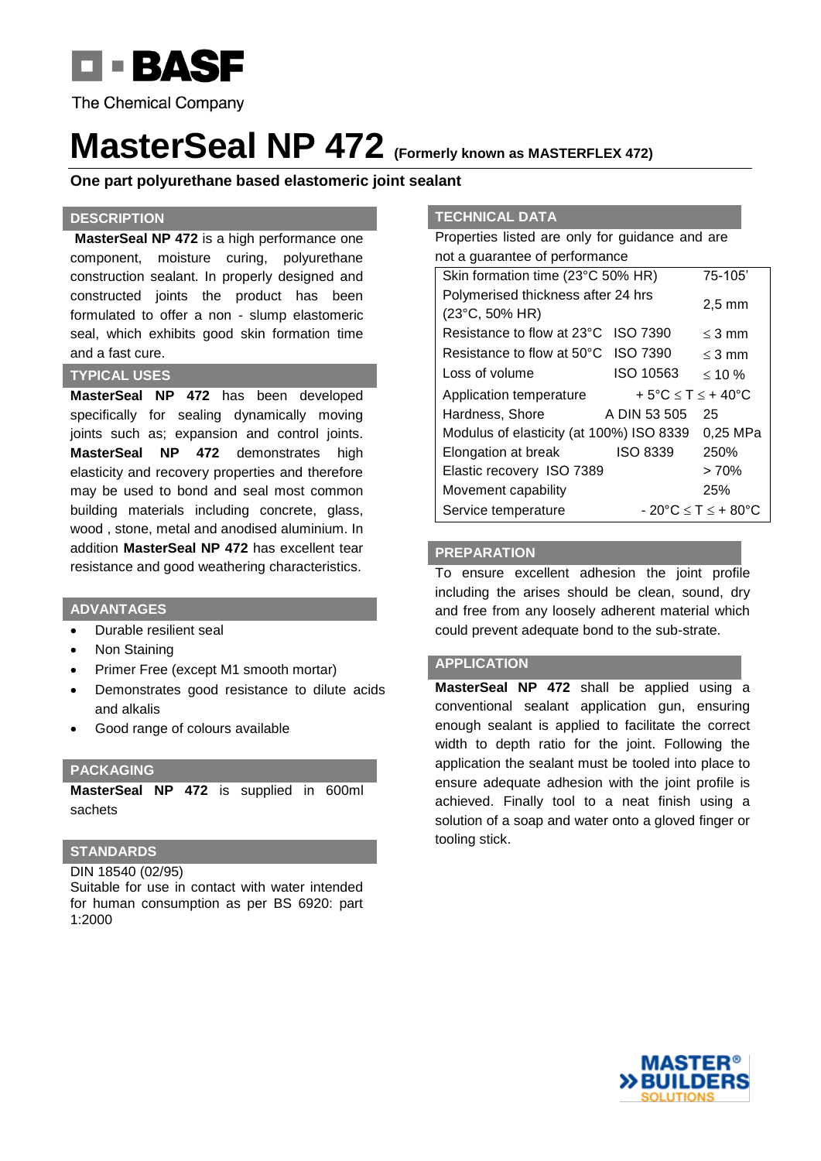

**The Chemical Company** 

# **MasterSeal NP 472 (Formerly known as MASTERFLEX 472)**

## **One part polyurethane based elastomeric joint sealant**

## **DESCRIPTION**

**MasterSeal NP 472** is a high performance one component, moisture curing, polyurethane construction sealant. In properly designed and constructed joints the product has been formulated to offer a non - slump elastomeric seal, which exhibits good skin formation time and a fast cure.

#### **TYPICAL USES**

**MasterSeal NP 472** has been developed specifically for sealing dynamically moving joints such as; expansion and control joints. **MasterSeal NP 472** demonstrates high elasticity and recovery properties and therefore may be used to bond and seal most common building materials including concrete, glass, wood , stone, metal and anodised aluminium. In addition **MasterSeal NP 472** has excellent tear resistance and good weathering characteristics.

## **ADVANTAGES**

- Durable resilient seal
- Non Staining
- Primer Free (except M1 smooth mortar)
- Demonstrates good resistance to dilute acids and alkalis
- Good range of colours available

#### **PACKAGING**

**MasterSeal NP 472** is supplied in 600ml sachets

## **STANDARDS**

DIN 18540 (02/95) Suitable for use in contact with water intended for human consumption as per BS 6920: part 1:2000

### **TECHNICAL DATA**

Properties listed are only for guidance and are not a guarantee of performance

| Skin formation time (23°C 50% HR)                       |                 | 75-105'                                |
|---------------------------------------------------------|-----------------|----------------------------------------|
| Polymerised thickness after 24 hrs                      |                 |                                        |
| $(23^{\circ}C, 50\% H R)$                               |                 | $2.5 \text{ mm}$                       |
| Resistance to flow at 23°C                              | <b>ISO 7390</b> | $<$ 3 mm                               |
| Resistance to flow at 50°C ISO 7390                     |                 | $<$ 3 mm                               |
| Loss of volume                                          | ISO 10563       | $< 10\%$                               |
| + 5°C $\leq$ T $\leq$ + 40°C<br>Application temperature |                 |                                        |
| Hardness, Shore                                         | A DIN 53 505    | 25                                     |
| Modulus of elasticity (at 100%) ISO 8339                |                 | 0,25 MPa                               |
| Elongation at break                                     | <b>ISO 8339</b> | 250%                                   |
| Elastic recovery ISO 7389                               |                 | >70%                                   |
| Movement capability                                     |                 | 25%                                    |
| Service temperature                                     |                 | $-20^{\circ}$ C $\leq$ T $\leq$ + 80°C |

#### **PREPARATION**

To ensure excellent adhesion the joint profile including the arises should be clean, sound, dry and free from any loosely adherent material which could prevent adequate bond to the sub-strate.

## **APPLICATION**

**MasterSeal NP 472** shall be applied using a conventional sealant application gun, ensuring enough sealant is applied to facilitate the correct width to depth ratio for the joint. Following the application the sealant must be tooled into place to ensure adequate adhesion with the joint profile is achieved. Finally tool to a neat finish using a solution of a soap and water onto a gloved finger or tooling stick.